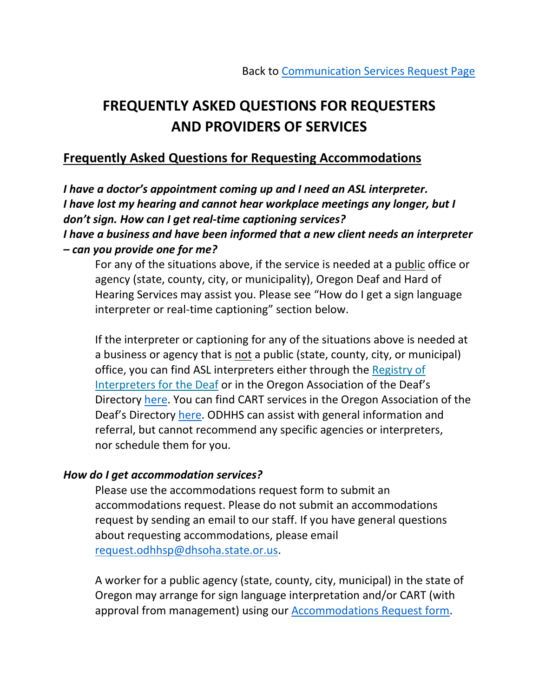# **FREQUENTLY ASKED QUESTIONS FOR REQUESTERS AND PROVIDERS OF SERVICES**

# **Frequently Asked Questions for Requesting Accommodations**

*I have a doctor's appointment coming up and I need an ASL interpreter. I have lost my hearing and cannot hear workplace meetings any longer, but I don't sign. How can I get real-time captioning services? I have a business and have been informed that a new client needs an interpreter – can you provide one for me?*

For any of the situations above, if the service is needed at a public office or agency (state, county, city, or municipality), Oregon Deaf and Hard of Hearing Services may assist you. Please see "How do I get a sign language interpreter or real-time captioning" section below.

If the interpreter or captioning for any of the situations above is needed at a business or agency that is not a public (state, county, city, or municipal) office, you can find ASL interpreters either through the Registry of [Interpreters for the Deaf](https://myaccount.rid.org/Public/Search/Member.aspx) or in the Oregon Association of the Deaf's Directory [here.](https://oad1921.org/directory/main?tid=15) You can find CART services in the Oregon Association of the Deaf's Directory [here.](https://oad1921.org/directory/main?tid=106) ODHHS can assist with general information and referral, but cannot recommend any specific agencies or interpreters, nor schedule them for you.

#### *How do I get accommodation services?*

Please use the accommodations request form to submit an accommodations request. Please do not submit an accommodations request by sending an email to our staff. If you have general questions about requesting accommodations, please email [request.odhhsp@dhsoha.state.or.us.](mailto:request.odhhsp@dhsoha.state.or.us)

A worker for a public agency (state, county, city, municipal) in the state of Oregon may arrange for sign language interpretation and/or CART (with approval from management) using our [Accommodations Request form.](https://www.oregon.gov/DHS/BUSINESS-SERVICES/ODHHS/Pages/ECS.aspx)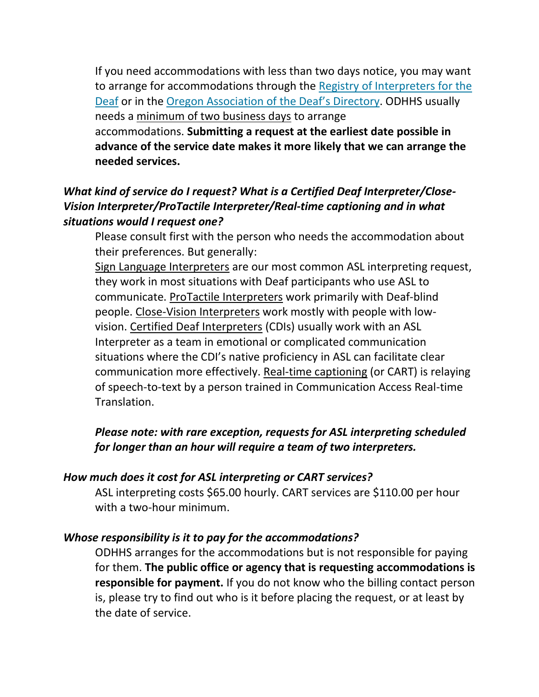If you need accommodations with less than two days notice, you may want to arrange for accommodations through the Registry of Interpreters for the [Deaf](https://myaccount.rid.org/Public/Search/Member.aspx) or in the [Oregon Association of the Deaf'](https://oad1921.org/directory/main?tid=15)s Directory. ODHHS usually needs a minimum of two business days to arrange accommodations. **Submitting a request at the earliest date possible in advance of the service date makes it more likely that we can arrange the needed services.**

## *What kind of service do I request? What is a Certified Deaf Interpreter/Close-Vision Interpreter/ProTactile Interpreter/Real-time captioning and in what situations would I request one?*

Please consult first with the person who needs the accommodation about their preferences. But generally:

Sign Language Interpreters are our most common ASL interpreting request, they work in most situations with Deaf participants who use ASL to communicate. ProTactile Interpreters work primarily with Deaf-blind people. Close-Vision Interpreters work mostly with people with lowvision. Certified Deaf Interpreters (CDIs) usually work with an ASL Interpreter as a team in emotional or complicated communication situations where the CDI's native proficiency in ASL can facilitate clear communication more effectively. Real-time captioning (or CART) is relaying of speech-to-text by a person trained in Communication Access Real-time Translation.

## *Please note: with rare exception, requests for ASL interpreting scheduled for longer than an hour will require a team of two interpreters.*

## *How much does it cost for ASL interpreting or CART services?*

ASL interpreting costs \$65.00 hourly. CART services are \$110.00 per hour with a two-hour minimum.

#### *Whose responsibility is it to pay for the accommodations?*

ODHHS arranges for the accommodations but is not responsible for paying for them. **The public office or agency that is requesting accommodations is responsible for payment.** If you do not know who the billing contact person is, please try to find out who is it before placing the request, or at least by the date of service.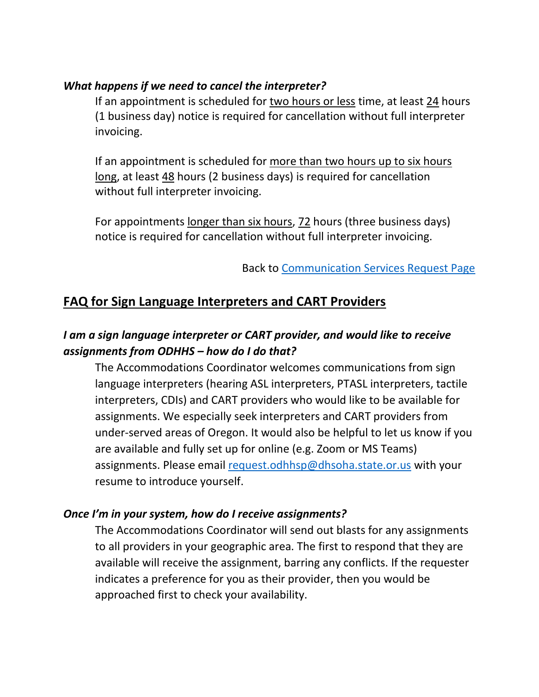## *What happens if we need to cancel the interpreter?*

If an appointment is scheduled for two hours or less time, at least 24 hours (1 business day) notice is required for cancellation without full interpreter invoicing.

If an appointment is scheduled for more than two hours up to six hours long, at least 48 hours (2 business days) is required for cancellation without full interpreter invoicing.

For appointments longer than six hours, 72 hours (three business days) notice is required for cancellation without full interpreter invoicing.

Back to [Communication Services Request Page](https://www.oregon.gov/DHS/BUSINESS-SERVICES/Pages/ODHHS-Communication-Services.aspx)

# **FAQ for Sign Language Interpreters and CART Providers**

## *I am a sign language interpreter or CART provider, and would like to receive assignments from ODHHS – how do I do that?*

The Accommodations Coordinator welcomes communications from sign language interpreters (hearing ASL interpreters, PTASL interpreters, tactile interpreters, CDIs) and CART providers who would like to be available for assignments. We especially seek interpreters and CART providers from under-served areas of Oregon. It would also be helpful to let us know if you are available and fully set up for online (e.g. Zoom or MS Teams) assignments. Please email [request.odhhsp@dhsoha.state.or.us](mailto:request.odhhsp@dhsoha.state.or.us) with your resume to introduce yourself.

## *Once I'm in your system, how do I receive assignments?*

The Accommodations Coordinator will send out blasts for any assignments to all providers in your geographic area. The first to respond that they are available will receive the assignment, barring any conflicts. If the requester indicates a preference for you as their provider, then you would be approached first to check your availability.